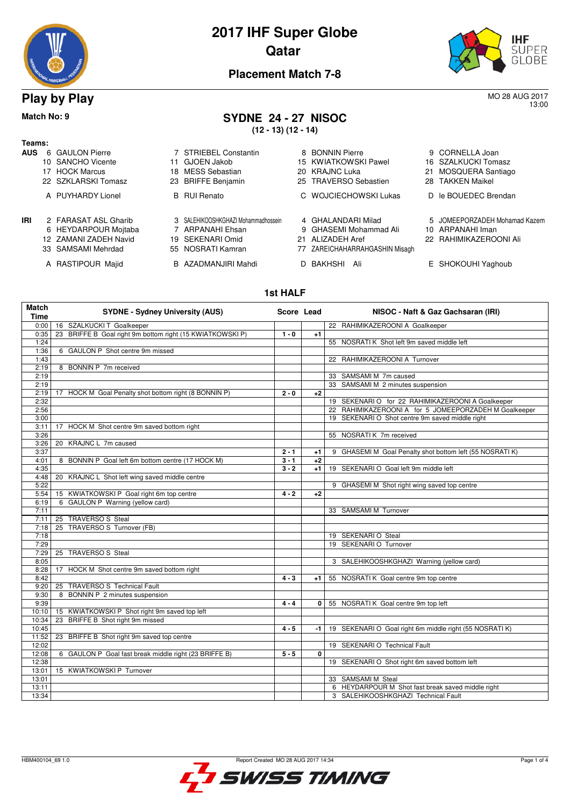



13:00

### **Placement Match 7-8**

**(12 - 13) (12 - 14)**

### **Play by Play** MO 28 AUG 2017

#### **Match No: 9 SYDNE 24 - 27 NISOC**

#### **Teams:**

|  | 6 GAULON Pierre |  |
|--|-----------------|--|
|  |                 |  |

- 
- 
- 
- 
- 
- **IRI** 2 FARASAT ASL Gharib 3 SALEHIKOOSHKGHAZI Mohammadhossein 4 GHALANDARI Milad 5 JOMEEPORZADEH Mohamad Kazem<br>6 HEYDARPOUR Moitaba 7 ARPANAHI Ehsan 9 GHASEMI Mohammad Ali 10 ARPANAHI Iman
	- 6 HEYDARPOUR Mojtaba 7 ARPANAHI Ehsan 9 GHASEMI Mohammad Ali 10 ARPANAHI Iman 12 ZAMANI ZADEH Navid
	- 33 SAMSAMI Mehrdad 55 NOSRATI Kamran 77 ZAREICHAHARRAHGASHIN Misagh
	- A RASTIPOUR Majid B AZADMANJIRI Mahdi D BAKHSHI Ali E SHOKOUHI Yaghoub
- 
- 
- 
- 

**AUS** 6 GAULON Pierre **7 STRIEBEL Constantin** 8 BONNIN Pierre 9 CORNELLA Joan 9 3 BONNIN Pierre 9 CORNELLA Joan 10 SANCHO Vicente 16 SZALKUCKI Tomasz

- 10 SANCHO Vicente 11 GJOEN Jakob 15 KWIATKOWSKI Pawel<br>17 HOCK Marcus 18 MESS Sebastian 20 KRAJNC Luka
- 17 HOCK Marcus 18 MESS Sebastian 20 KRAJNC Luka 21 MOSQUERA Santiago 23 BRIFFE Benjamin 25 TRAVERSO Sebastien
- A PUYHARDY Lionel B RUI Renato C WOJCIECHOWSKI Lukas D le BOUEDEC Brendan
	-
	-
	-
	-
	-
- 
- 
- 
- 
- 
- 
- 
- 
- 
- 

#### **1st HALF**

| <b>Match</b><br><b>Time</b> | <b>SYDNE - Sydney University (AUS)</b>                       | Score Lead |      | NISOC - Naft & Gaz Gachsaran (IRI) |                                                          |
|-----------------------------|--------------------------------------------------------------|------------|------|------------------------------------|----------------------------------------------------------|
| 0:00                        | 16 SZALKUCKI T Goalkeeper                                    |            |      |                                    | 22 RAHIMIKAZEROONI A Goalkeeper                          |
| 0:35                        | BRIFFE B Goal right 9m bottom right (15 KWIATKOWSKI P)<br>23 | $1 - 0$    | $+1$ |                                    |                                                          |
| 1:24                        |                                                              |            |      |                                    | 55 NOSRATI K Shot left 9m saved middle left              |
| 1:36                        | 6 GAULON P Shot centre 9m missed                             |            |      |                                    |                                                          |
| 1:43                        |                                                              |            |      |                                    | 22 RAHIMIKAZEROONI A Turnover                            |
| 2:19                        | 8 BONNIN P 7m received                                       |            |      |                                    |                                                          |
| 2:19                        |                                                              |            |      |                                    | 33 SAMSAMI M 7m caused                                   |
| 2:19                        |                                                              |            |      |                                    | 33 SAMSAMI M 2 minutes suspension                        |
| 2:19                        | 17 HOCK M Goal Penalty shot bottom right (8 BONNIN P)        | $2 - 0$    | $+2$ |                                    |                                                          |
| 2:32                        |                                                              |            |      |                                    | 19 SEKENARI O for 22 RAHIMIKAZEROONI A Goalkeeper        |
| 2:56                        |                                                              |            |      |                                    | 22 RAHIMIKAZEROONI A for 5 JOMEEPORZADEH M Goalkeeper    |
| 3:00                        |                                                              |            |      |                                    | 19 SEKENARI O Shot centre 9m saved middle right          |
| 3:11                        | 17 HOCK M Shot centre 9m saved bottom right                  |            |      |                                    |                                                          |
| 3:26                        |                                                              |            |      |                                    | 55 NOSRATI K 7m received                                 |
| 3:26                        | 20 KRAJNC L 7m caused                                        |            |      |                                    |                                                          |
| 3:37                        |                                                              | $2 - 1$    | $+1$ |                                    | 9 GHASEMI M Goal Penalty shot bottom left (55 NOSRATI K) |
| 4:01                        | 8 BONNIN P Goal left 6m bottom centre (17 HOCK M)            | $3 - 1$    | $+2$ |                                    |                                                          |
| 4:35                        |                                                              | $3 - 2$    | +1   |                                    | 19 SEKENARIO Goal left 9m middle left                    |
| 4:48                        | 20 KRAJNC L Shot left wing saved middle centre               |            |      |                                    |                                                          |
| 5:22                        |                                                              |            |      |                                    | 9 GHASEMI M Shot right wing saved top centre             |
| 5:54                        | 15 KWIATKOWSKI P Goal right 6m top centre                    | $4 - 2$    | $+2$ |                                    |                                                          |
| 6:19                        | 6 GAULON P Warning (yellow card)                             |            |      |                                    |                                                          |
| 7:11                        |                                                              |            |      |                                    | 33 SAMSAMI M Turnover                                    |
| 7:11                        | 25 TRAVERSO S Steal                                          |            |      |                                    |                                                          |
| 7:18                        | TRAVERSO S Turnover (FB)<br>25                               |            |      |                                    |                                                          |
| 7:18                        |                                                              |            |      |                                    | 19 SEKENARI O Steal                                      |
| 7:29                        |                                                              |            |      |                                    | 19 SEKENARIO Turnover                                    |
| 7:29                        | 25 TRAVERSO S Steal                                          |            |      |                                    |                                                          |
| 8:05                        |                                                              |            |      |                                    | 3 SALEHIKOOSHKGHAZI Warning (yellow card)                |
| 8:28                        | 17 HOCK M Shot centre 9m saved bottom right                  |            |      |                                    |                                                          |
| 8:42                        |                                                              | $4 - 3$    | $+1$ |                                    | 55 NOSRATI K Goal centre 9m top centre                   |
| 9:20                        | <b>TRAVERSO S Technical Fault</b><br>25                      |            |      |                                    |                                                          |
| 9:30                        | BONNIN P 2 minutes suspension<br>8                           |            |      |                                    |                                                          |
| 9:39                        |                                                              | $4 - 4$    | 0 I  |                                    | 55 NOSRATIK Goal centre 9m top left                      |
| 10:10                       | 15 KWIATKOWSKI P Shot right 9m saved top left                |            |      |                                    |                                                          |
| 10:34                       | 23 BRIFFE B Shot right 9m missed                             |            |      |                                    |                                                          |
| 10:45                       |                                                              | $4 - 5$    | -1   |                                    | 19 SEKENARIO Goal right 6m middle right (55 NOSRATI K)   |
| 11:52                       | BRIFFE B Shot right 9m saved top centre<br>23                |            |      |                                    |                                                          |
| 12:02                       |                                                              |            |      |                                    | 19 SEKENARI O Technical Fault                            |
| 12:08                       | 6 GAULON P Goal fast break middle right (23 BRIFFE B)        | $5 - 5$    | 0    |                                    |                                                          |
| 12:38                       |                                                              |            |      |                                    | 19 SEKENARI O Shot right 6m saved bottom left            |
| 13:01                       | 15 KWIATKOWSKI P Turnover                                    |            |      |                                    |                                                          |
| 13:01                       |                                                              |            |      |                                    | 33 SAMSAMI M Steal                                       |
| 13:11                       |                                                              |            |      |                                    | 6 HEYDARPOUR M Shot fast break saved middle right        |
| 13:34                       |                                                              |            |      |                                    | 3 SALEHIKOOSHKGHAZI Technical Fault                      |

SWISS TIMING

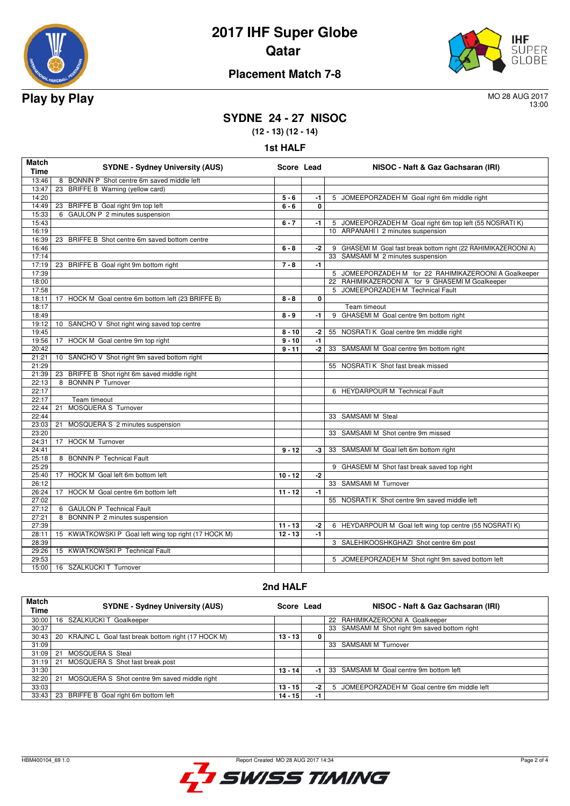



### **Placement Match 7-8**

13:00

## **SYDNE 24 - 27 NISOC**

**(12 - 13) (12 - 14)**

**1st HALF**

| Match<br><b>Time</b> | <b>SYDNE - Sydney University (AUS)</b>                | Score Lead |              | NISOC - Naft & Gaz Gachsaran (IRI)                              |
|----------------------|-------------------------------------------------------|------------|--------------|-----------------------------------------------------------------|
| 13:46                | 8 BONNIN P Shot centre 6m saved middle left           |            |              |                                                                 |
| 13:47                | 23 BRIFFE B Warning (yellow card)                     |            |              |                                                                 |
| 14:20                |                                                       | $5 - 6$    | $-1$         | 5 JOMEEPORZADEH M Goal right 6m middle right                    |
| 14:49                | 23 BRIFFE B Goal right 9m top left                    | $6 - 6$    | $\mathbf{0}$ |                                                                 |
| 15:33                | 6 GAULON P 2 minutes suspension                       |            |              |                                                                 |
| 15:43                |                                                       | $6 - 7$    | $-1$         | 5 JOMEEPORZADEH M Goal right 6m top left (55 NOSRATI K)         |
| 16:19                |                                                       |            |              | 10 ARPANAHI I 2 minutes suspension                              |
| 16:39                | 23 BRIFFE B Shot centre 6m saved bottom centre        |            |              |                                                                 |
| 16:46                |                                                       | $6 - 8$    | $-2$         | 9 GHASEMI M Goal fast break bottom right (22 RAHIMIKAZEROONI A) |
| 17:14                |                                                       |            |              | 33 SAMSAMI M 2 minutes suspension                               |
| 17:19                | 23 BRIFFE B Goal right 9m bottom right                | $7 - 8$    | $-1$         |                                                                 |
| 17:39                |                                                       |            |              | 5 JOMEEPORZADEH M for 22 RAHIMIKAZEROONI A Goalkeeper           |
| 18:00                |                                                       |            |              | 22 RAHIMIKAZEROONI A for 9 GHASEMI M Goalkeeper                 |
| 17:58                |                                                       |            |              | 5 JOMEEPORZADEH M Technical Fault                               |
| 18:11                | 17 HOCK M Goal centre 6m bottom left (23 BRIFFE B)    | $8 - 8$    | $\mathbf{0}$ |                                                                 |
| 18:17                |                                                       |            |              | Team timeout                                                    |
| 18:49                |                                                       | $8 - 9$    | -1           | 9 GHASEMI M Goal centre 9m bottom right                         |
| 19:12                | 10 SANCHO V Shot right wing saved top centre          |            |              |                                                                 |
| 19:45                |                                                       | $8 - 10$   | $-2$         | 55 NOSRATI K Goal centre 9m middle right                        |
| 19:56                | HOCK M Goal centre 9m top right<br>17                 | $9 - 10$   | $-1$         |                                                                 |
| 20:42                |                                                       | $9 - 11$   | $-2$         | 33 SAMSAMI M Goal centre 9m bottom right                        |
| 21:21                | 10 SANCHO V Shot right 9m saved bottom right          |            |              |                                                                 |
| 21:29                |                                                       |            |              | 55 NOSRATI K Shot fast break missed                             |
| 21:39                | 23 BRIFFE B Shot right 6m saved middle right          |            |              |                                                                 |
| 22:13                | 8 BONNIN P Turnover                                   |            |              |                                                                 |
| 22:17                |                                                       |            |              | 6 HEYDARPOUR M Technical Fault                                  |
| 22:17                | Team timeout                                          |            |              |                                                                 |
| 22:44                | MOSQUERA S Turnover<br>21                             |            |              |                                                                 |
| 22:44                |                                                       |            |              | 33 SAMSAMI M Steal                                              |
| 23:03                | 21<br>MOSQUERA S 2 minutes suspension                 |            |              |                                                                 |
| 23:20                |                                                       |            |              | 33 SAMSAMI M Shot centre 9m missed                              |
| 24:31                | 17 HOCK M Turnover                                    |            |              |                                                                 |
| 24:41                |                                                       | $9 - 12$   | $-3$         | 33 SAMSAMI M Goal left 6m bottom right                          |
| 25:18                | 8 BONNIN P Technical Fault                            |            |              |                                                                 |
| 25:29                |                                                       |            |              | 9 GHASEMI M Shot fast break saved top right                     |
| 25:40                | 17 HOCK M Goal left 6m bottom left                    | $10 - 12$  | $-2$         |                                                                 |
| 26:12                |                                                       |            |              | 33 SAMSAMI M Turnover                                           |
| 26:24                | 17 HOCK M Goal centre 6m bottom left                  | $11 - 12$  | $-1$         |                                                                 |
| 27:02                |                                                       |            |              | 55 NOSRATI K Shot centre 9m saved middle left                   |
| 27:12                | 6 GAULON P Technical Fault                            |            |              |                                                                 |
| 27:21<br>27:39       | 8 BONNIN P 2 minutes suspension                       |            |              |                                                                 |
|                      |                                                       | $11 - 13$  | $-2$<br>$-1$ | 6 HEYDARPOUR M Goal left wing top centre (55 NOSRATI K)         |
| 28:11                | 15 KWIATKOWSKI P Goal left wing top right (17 HOCK M) | $12 - 13$  |              |                                                                 |
| 28:39                |                                                       |            |              | 3 SALEHIKOOSHKGHAZI Shot centre 6m post                         |
| 29:26<br>29:53       | 15 KWIATKOWSKI P Technical Fault                      |            |              |                                                                 |
|                      |                                                       |            |              | 5 JOMEEPORZADEH M Shot right 9m saved bottom left               |
| 15:00                | 16 SZALKUCKI T Turnover                               |            |              |                                                                 |

#### **2nd HALF**

| <b>Match</b><br>Time | <b>SYDNE - Sydney University (AUS)</b>               | Score Lead |      | NISOC - Naft & Gaz Gachsaran (IRI)               |
|----------------------|------------------------------------------------------|------------|------|--------------------------------------------------|
| 30:00                | 16 SZALKUCKI T Goalkeeper                            |            |      | 22 RAHIMIKAZEROONI A Goalkeeper                  |
| 30:37                |                                                      |            |      | 33 SAMSAMI M Shot right 9m saved bottom right    |
| 30:43                | 20 KRAJNC L Goal fast break bottom right (17 HOCK M) | $13 - 13$  | 0    |                                                  |
| 31:09                |                                                      |            |      | <b>SAMSAMI M Turnover</b><br>33                  |
| 31:09                | MOSOUERA S Steal<br>21                               |            |      |                                                  |
| 31:19                | MOSQUERA S Shot fast break post<br>21                |            |      |                                                  |
| 31:30                |                                                      | $13 - 14$  | $-1$ | 33 SAMSAMI M Goal centre 9m bottom left          |
| 32:20                | MOSQUERA S Shot centre 9m saved middle right<br>21   |            |      |                                                  |
| 33:03                |                                                      | $13 - 15$  | $-2$ | JOMEEPORZADEH M Goal centre 6m middle left<br>5. |
| 33:43                | BRIFFE B Goal right 6m bottom left<br>23             | 14 - 15    | -1   |                                                  |

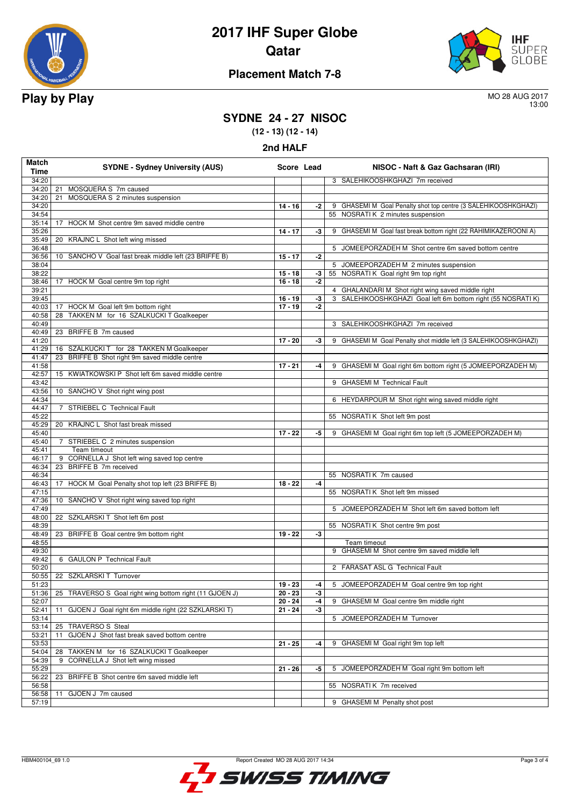



### **Placement Match 7-8**

13:00

## **SYDNE 24 - 27 NISOC**

**(12 - 13) (12 - 14)**

| 2nd HALF |  |
|----------|--|
|----------|--|

| Match<br>Time  | <b>SYDNE - Sydney University (AUS)</b>                    | Score Lead             |      | NISOC - Naft & Gaz Gachsaran (IRI)                                                                                   |
|----------------|-----------------------------------------------------------|------------------------|------|----------------------------------------------------------------------------------------------------------------------|
| 34:20          |                                                           |                        |      | 3 SALEHIKOOSHKGHAZI 7m received                                                                                      |
| 34:20          | MOSQUERA S 7m caused<br>21                                |                        |      |                                                                                                                      |
| 34:20          | MOSQUERA S 2 minutes suspension<br>21                     |                        |      |                                                                                                                      |
| 34:20          |                                                           | $14 - 16$              | -2   | 9 GHASEMI M Goal Penalty shot top centre (3 SALEHIKOOSHKGHAZI)                                                       |
| 34:54          |                                                           |                        |      | 55 NOSRATI K 2 minutes suspension                                                                                    |
| 35:14          | 17<br>HOCK M Shot centre 9m saved middle centre           |                        |      |                                                                                                                      |
| 35:26          |                                                           | $14 - 17$              | -3   | 9 GHASEMI M Goal fast break bottom right (22 RAHIMIKAZEROONI A)                                                      |
| 35:49          | 20 KRAJNC L Shot left wing missed                         |                        |      |                                                                                                                      |
| 36:48          |                                                           |                        |      | 5 JOMEEPORZADEH M Shot centre 6m saved bottom centre                                                                 |
| 36:56          | 10 SANCHO V Goal fast break middle left (23 BRIFFE B)     | $15 - 17$              | $-2$ |                                                                                                                      |
| 38:04          |                                                           |                        |      | 5 JOMEEPORZADEH M 2 minutes suspension                                                                               |
| 38:22          |                                                           | $15 - 18$              | $-3$ | 55 NOSRATI K Goal right 9m top right                                                                                 |
| 38:46          | 17 HOCK M Goal centre 9m top right                        | $16 - 18$              | -2   |                                                                                                                      |
| 39:21<br>39:45 |                                                           |                        | -3   | 4 GHALANDARI M Shot right wing saved middle right<br>SALEHIKOOSHKGHAZI Goal left 6m bottom right (55 NOSRATI K)<br>3 |
| 40:03          | 17 HOCK M Goal left 9m bottom right                       | $16 - 19$<br>$17 - 19$ | -2   |                                                                                                                      |
| 40:58          | TAKKEN M for 16 SZALKUCKI T Goalkeeper<br>28              |                        |      |                                                                                                                      |
| 40:49          |                                                           |                        |      | 3 SALEHIKOOSHKGHAZI 7m received                                                                                      |
| 40:49          | 23 BRIFFE B 7m caused                                     |                        |      |                                                                                                                      |
| 41:20          |                                                           | $17 - 20$              | $-3$ | 9 GHASEMI M Goal Penalty shot middle left (3 SALEHIKOOSHKGHAZI)                                                      |
| 41:29          | 16 SZALKUCKI T for 28 TAKKEN M Goalkeeper                 |                        |      |                                                                                                                      |
| 41:47          | 23 BRIFFE B Shot right 9m saved middle centre             |                        |      |                                                                                                                      |
| 41:58          |                                                           | $17 - 21$              | -4   | 9 GHASEMI M Goal right 6m bottom right (5 JOMEEPORZADEH M)                                                           |
| 42:57          | 15 KWIATKOWSKI P Shot left 6m saved middle centre         |                        |      |                                                                                                                      |
| 43:42          |                                                           |                        |      | 9 GHASEMI M Technical Fault                                                                                          |
| 43:56          | 10 SANCHO V Shot right wing post                          |                        |      |                                                                                                                      |
| 44:34          |                                                           |                        |      | 6 HEYDARPOUR M Shot right wing saved middle right                                                                    |
| 44:47          | 7 STRIEBEL C Technical Fault                              |                        |      |                                                                                                                      |
| 45:22          |                                                           |                        |      | 55 NOSRATIK Shot left 9m post                                                                                        |
| 45:29          | 20 KRAJNC L Shot fast break missed                        | $17 - 22$              |      | 9 GHASEMI M Goal right 6m top left (5 JOMEEPORZADEH M)                                                               |
| 45:40<br>45:40 | STRIEBEL C 2 minutes suspension<br>7                      |                        | -5   |                                                                                                                      |
| 45:41          | Team timeout                                              |                        |      |                                                                                                                      |
| 46:17          | 9 CORNELLA J Shot left wing saved top centre              |                        |      |                                                                                                                      |
| 46:34          | 23 BRIFFE B 7m received                                   |                        |      |                                                                                                                      |
| 46:34          |                                                           |                        |      | 55 NOSRATI K 7m caused                                                                                               |
| 46:43          | 17 HOCK M Goal Penalty shot top left (23 BRIFFE B)        | $18 - 22$              | -4   |                                                                                                                      |
| 47:15          |                                                           |                        |      | 55 NOSRATIK Shot left 9m missed                                                                                      |
| 47:36          | 10 SANCHO V Shot right wing saved top right               |                        |      |                                                                                                                      |
| 47:49          |                                                           |                        |      | 5 JOMEEPORZADEH M Shot left 6m saved bottom left                                                                     |
| 48:00          | 22 SZKLARSKI T Shot left 6m post                          |                        |      |                                                                                                                      |
| 48:39          |                                                           |                        |      | 55 NOSRATIK Shot centre 9m post                                                                                      |
| 48:49          | 23 BRIFFE B Goal centre 9m bottom right                   | $19 - 22$              | -3   |                                                                                                                      |
| 48:55          |                                                           |                        |      | Team timeout                                                                                                         |
| 49:30          | 6 GAULON P Technical Fault                                |                        |      | 9 GHASEMI M Shot centre 9m saved middle left                                                                         |
| 49:42<br>50:20 |                                                           |                        |      |                                                                                                                      |
| 50:55          | 22 SZKLARSKI T Turnover                                   |                        |      | 2 FARASAT ASL G Technical Fault                                                                                      |
| 51:23          |                                                           | $19 - 23$              | -4   | 5 JOMEEPORZADEH M Goal centre 9m top right                                                                           |
| 51:36          | 25 TRAVERSO S Goal right wing bottom right (11 GJOEN J)   | $20 - 23$              | -3   |                                                                                                                      |
| 52:07          |                                                           | $20 - 24$              | $-4$ | 9 GHASEMI M Goal centre 9m middle right                                                                              |
| 52:41          | GJOEN J Goal right 6m middle right (22 SZKLARSKI T)<br>11 | $21 - 24$              | -3   |                                                                                                                      |
| 53:14          |                                                           |                        |      | 5 JOMEEPORZADEH M Turnover                                                                                           |
| 53:14          | TRAVERSO S Steal<br>25                                    |                        |      |                                                                                                                      |
| 53:21          | GJOEN J Shot fast break saved bottom centre<br>11         |                        |      |                                                                                                                      |
| 53:53          |                                                           | $21 - 25$              | -4   | 9 GHASEMI M Goal right 9m top left                                                                                   |
| 54:04          | TAKKEN M for 16 SZALKUCKI T Goalkeeper<br>28              |                        |      |                                                                                                                      |
| 54:39          | CORNELLA J Shot left wing missed<br>9                     |                        |      |                                                                                                                      |
| 55:29          |                                                           | 21 - 26                | -5   | JOMEEPORZADEH M Goal right 9m bottom left<br>5                                                                       |
| 56:22          | BRIFFE B Shot centre 6m saved middle left<br>23           |                        |      |                                                                                                                      |
| 56:58          |                                                           |                        |      | 55 NOSRATI K 7m received                                                                                             |
| 56:58          | GJOEN J 7m caused<br>11                                   |                        |      |                                                                                                                      |
| 57:19          |                                                           |                        |      | 9 GHASEMI M Penalty shot post                                                                                        |